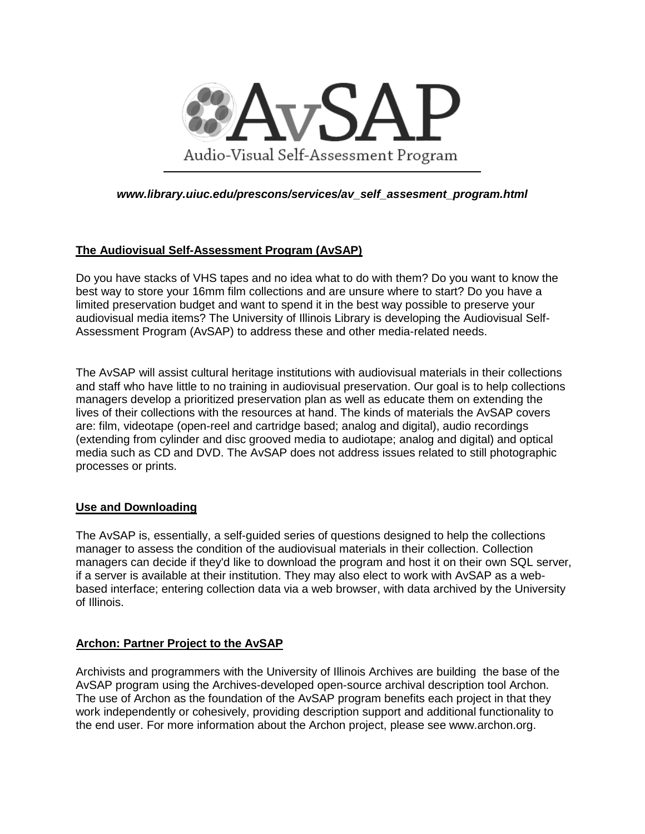

*[www.library.uiuc.edu/prescons/services/av\\_self\\_assesment\\_program.html](http://www.library.uiuc.edu/prescons/services/av_self_assesment_program.html)*

# **The Audiovisual Self-Assessment Program (AvSAP)**

Do you have stacks of VHS tapes and no idea what to do with them? Do you want to know the best way to store your 16mm film collections and are unsure where to start? Do you have a limited preservation budget and want to spend it in the best way possible to preserve your audiovisual media items? The University of Illinois Library is developing the Audiovisual Self-Assessment Program (AvSAP) to address these and other media-related needs.

The AvSAP will assist cultural heritage institutions with audiovisual materials in their collections and staff who have little to no training in audiovisual preservation. Our goal is to help collections managers develop a prioritized preservation plan as well as educate them on extending the lives of their collections with the resources at hand. The kinds of materials the AvSAP covers are: film, videotape (open-reel and cartridge based; analog and digital), audio recordings (extending from cylinder and disc grooved media to audiotape; analog and digital) and optical media such as CD and DVD. The AvSAP does not address issues related to still photographic processes or prints.

## **Use and Downloading**

The AvSAP is, essentially, a self-guided series of questions designed to help the collections manager to assess the condition of the audiovisual materials in their collection. Collection managers can decide if they'd like to download the program and host it on their own SQL server, if a server is available at their institution. They may also elect to work with AvSAP as a webbased interface; entering collection data via a web browser, with data archived by the University of Illinois.

## **Archon: Partner Project to the AvSAP**

Archivists and programmers with the University of Illinois Archives are building the base of the AvSAP program using the Archives-developed open-source archival description tool Archon. The use of Archon as the foundation of the AvSAP program benefits each project in that they work independently or cohesively, providing description support and additional functionality to the end user. For more information about the Archon project, please see [www.archon.org.](http://www.archon.org/)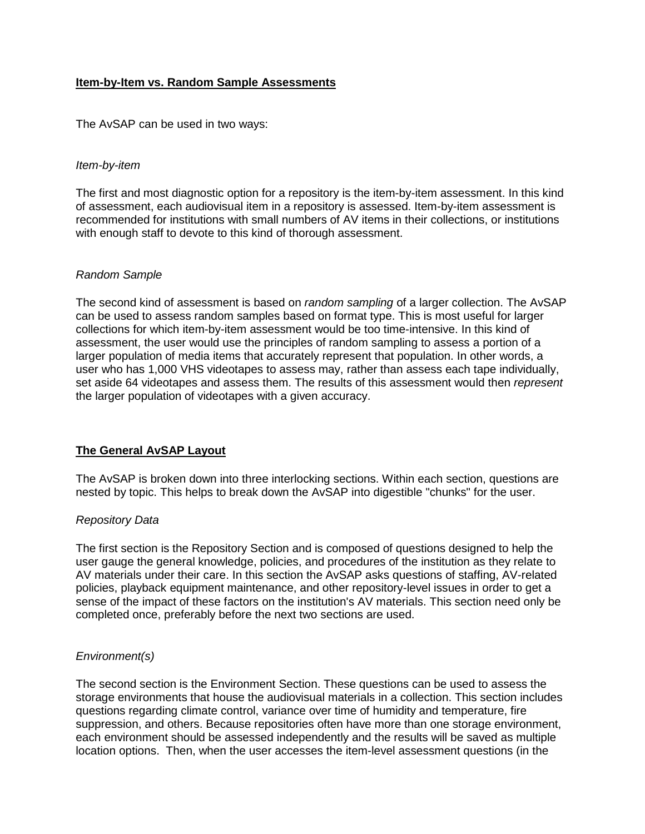## **Item-by-Item vs. Random Sample Assessments**

The AvSAP can be used in two ways:

### *Item-by-item*

The first and most diagnostic option for a repository is the item-by-item assessment. In this kind of assessment, each audiovisual item in a repository is assessed. Item-by-item assessment is recommended for institutions with small numbers of AV items in their collections, or institutions with enough staff to devote to this kind of thorough assessment.

#### *Random Sample*

The second kind of assessment is based on *random sampling* of a larger collection. The AvSAP can be used to assess random samples based on format type. This is most useful for larger collections for which item-by-item assessment would be too time-intensive. In this kind of assessment, the user would use the principles of random sampling to assess a portion of a larger population of media items that accurately represent that population. In other words, a user who has 1,000 VHS videotapes to assess may, rather than assess each tape individually, set aside 64 videotapes and assess them. The results of this assessment would then *represent* the larger population of videotapes with a given accuracy.

## **The General AvSAP Layout**

The AvSAP is broken down into three interlocking sections. Within each section, questions are nested by topic. This helps to break down the AvSAP into digestible "chunks" for the user.

#### *Repository Data*

The first section is the Repository Section and is composed of questions designed to help the user gauge the general knowledge, policies, and procedures of the institution as they relate to AV materials under their care. In this section the AvSAP asks questions of staffing, AV-related policies, playback equipment maintenance, and other repository-level issues in order to get a sense of the impact of these factors on the institution's AV materials. This section need only be completed once, preferably before the next two sections are used.

## *Environment(s)*

The second section is the Environment Section. These questions can be used to assess the storage environments that house the audiovisual materials in a collection. This section includes questions regarding climate control, variance over time of humidity and temperature, fire suppression, and others. Because repositories often have more than one storage environment, each environment should be assessed independently and the results will be saved as multiple location options. Then, when the user accesses the item-level assessment questions (in the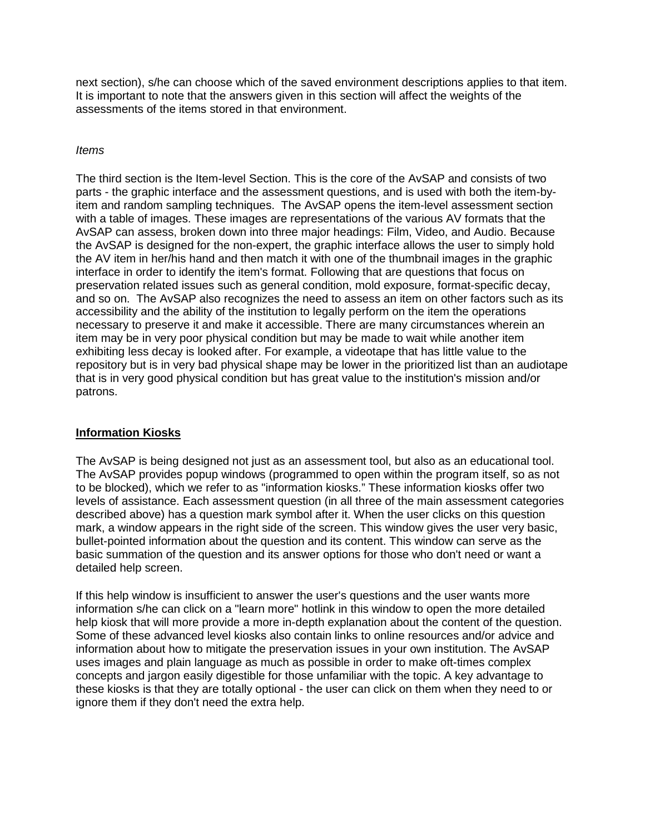next section), s/he can choose which of the saved environment descriptions applies to that item. It is important to note that the answers given in this section will affect the weights of the assessments of the items stored in that environment.

## *Items*

The third section is the Item-level Section. This is the core of the AvSAP and consists of two parts - the graphic interface and the assessment questions, and is used with both the item-byitem and random sampling techniques. The AvSAP opens the item-level assessment section with a table of images. These images are representations of the various AV formats that the AvSAP can assess, broken down into three major headings: Film, Video, and Audio. Because the AvSAP is designed for the non-expert, the graphic interface allows the user to simply hold the AV item in her/his hand and then match it with one of the thumbnail images in the graphic interface in order to identify the item's format. Following that are questions that focus on preservation related issues such as general condition, mold exposure, format-specific decay, and so on. The AvSAP also recognizes the need to assess an item on other factors such as its accessibility and the ability of the institution to legally perform on the item the operations necessary to preserve it and make it accessible. There are many circumstances wherein an item may be in very poor physical condition but may be made to wait while another item exhibiting less decay is looked after. For example, a videotape that has little value to the repository but is in very bad physical shape may be lower in the prioritized list than an audiotape that is in very good physical condition but has great value to the institution's mission and/or patrons.

## **Information Kiosks**

The AvSAP is being designed not just as an assessment tool, but also as an educational tool. The AvSAP provides popup windows (programmed to open within the program itself, so as not to be blocked), which we refer to as "information kiosks." These information kiosks offer two levels of assistance. Each assessment question (in all three of the main assessment categories described above) has a question mark symbol after it. When the user clicks on this question mark, a window appears in the right side of the screen. This window gives the user very basic, bullet-pointed information about the question and its content. This window can serve as the basic summation of the question and its answer options for those who don't need or want a detailed help screen.

If this help window is insufficient to answer the user's questions and the user wants more information s/he can click on a "learn more" hotlink in this window to open the more detailed help kiosk that will more provide a more in-depth explanation about the content of the question. Some of these advanced level kiosks also contain links to online resources and/or advice and information about how to mitigate the preservation issues in your own institution. The AvSAP uses images and plain language as much as possible in order to make oft-times complex concepts and jargon easily digestible for those unfamiliar with the topic. A key advantage to these kiosks is that they are totally optional - the user can click on them when they need to or ignore them if they don't need the extra help.